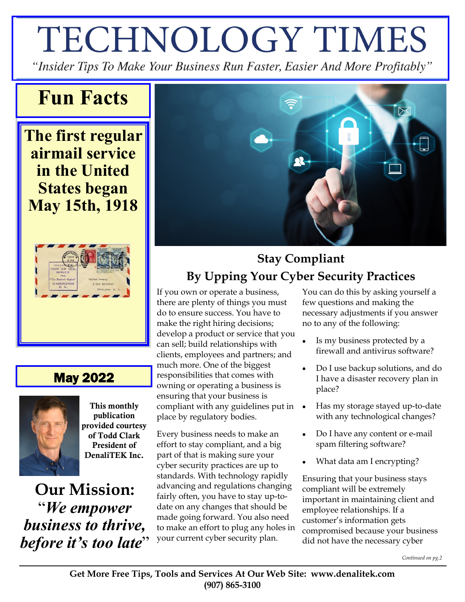# TECHNOLOGY TIMES

"Insider Tips To Make Your Business Run Faster, Easier And More Profitably"

### **Fun Facts**

**The first regular airmail service in the United States began May 15th, 1918**



### May 2022



This monthly publication provided courtesy of Todd Clark President of DenaliTEK Inc.

**Our Mission:**  "*We empower business to thrive, before it's too late*"



### **Stay Compliant By Upping Your Cyber Security Practices**

If you own or operate a business, there are plenty of things you must do to ensure success. You have to make the right hiring decisions; develop a product or service that you can sell; build relationships with clients, employees and partners; and much more. One of the biggest responsibilities that comes with owning or operating a business is ensuring that your business is compliant with any guidelines put in place by regulatory bodies.

Every business needs to make an effort to stay compliant, and a big part of that is making sure your cyber security practices are up to standards. With technology rapidly advancing and regulations changing fairly often, you have to stay up-todate on any changes that should be made going forward. You also need to make an effort to plug any holes in your current cyber security plan.

You can do this by asking yourself a few questions and making the necessary adjustments if you answer no to any of the following:

- Is my business protected by a firewall and antivirus software?
- Do I use backup solutions, and do I have a disaster recovery plan in place?
- Has my storage stayed up-to-date with any technological changes?
- Do I have any content or e-mail spam filtering software?
- What data am I encrypting?

Ensuring that your business stays compliant will be extremely important in maintaining client and employee relationships. If a customer's information gets compromised because your business did not have the necessary cyber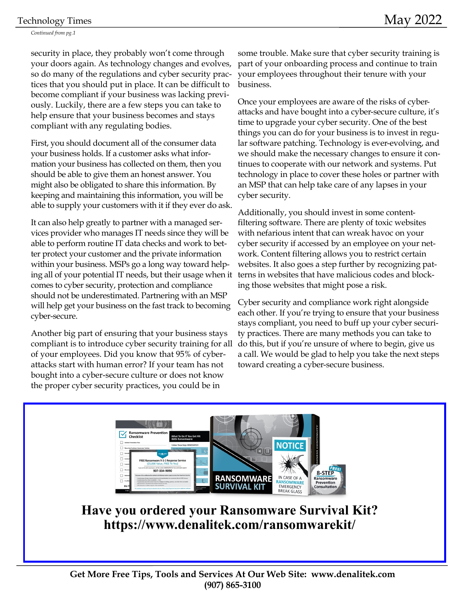#### Technology Times

*Continued from pg.1*

security in place, they probably won't come through your doors again. As technology changes and evolves, so do many of the regulations and cyber security practices that you should put in place. It can be difficult to become compliant if your business was lacking previously. Luckily, there are a few steps you can take to help ensure that your business becomes and stays compliant with any regulating bodies.

First, you should document all of the consumer data your business holds. If a customer asks what information your business has collected on them, then you should be able to give them an honest answer. You might also be obligated to share this information. By keeping and maintaining this information, you will be able to supply your customers with it if they ever do ask.

It can also help greatly to partner with a managed services provider who manages IT needs since they will be able to perform routine IT data checks and work to better protect your customer and the private information within your business. MSPs go a long way toward helping all of your potential IT needs, but their usage when it comes to cyber security, protection and compliance should not be underestimated. Partnering with an MSP will help get your business on the fast track to becoming cyber-secure.

Another big part of ensuring that your business stays compliant is to introduce cyber security training for all of your employees. Did you know that 95% of cyberattacks start with human error? If your team has not bought into a cyber-secure culture or does not know the proper cyber security practices, you could be in

some trouble. Make sure that cyber security training is part of your onboarding process and continue to train your employees throughout their tenure with your business.

Once your employees are aware of the risks of cyberattacks and have bought into a cyber-secure culture, it's time to upgrade your cyber security. One of the best things you can do for your business is to invest in regular software patching. Technology is ever-evolving, and we should make the necessary changes to ensure it continues to cooperate with our network and systems. Put technology in place to cover these holes or partner with an MSP that can help take care of any lapses in your cyber security.

Additionally, you should invest in some contentfiltering software. There are plenty of toxic websites with nefarious intent that can wreak havoc on your cyber security if accessed by an employee on your network. Content filtering allows you to restrict certain websites. It also goes a step further by recognizing patterns in websites that have malicious codes and blocking those websites that might pose a risk.

Cyber security and compliance work right alongside each other. If you're trying to ensure that your business stays compliant, you need to buff up your cyber security practices. There are many methods you can take to do this, but if you're unsure of where to begin, give us a call. We would be glad to help you take the next steps toward creating a cyber-secure business.



**Have you ordered your Ransomware Survival Kit? https://www.denalitek.com/ransomwarekit/**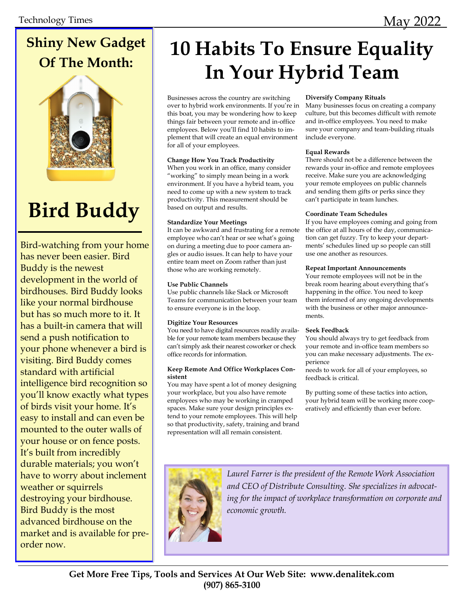### **Shiny New Gadget Of The Month:**



## **Bird Buddy**

Bird-watching from your home has never been easier. Bird Buddy is the newest development in the world of birdhouses. Bird Buddy looks like your normal birdhouse but has so much more to it. It has a built-in camera that will send a push notification to your phone whenever a bird is visiting. Bird Buddy comes standard with artificial intelligence bird recognition so you'll know exactly what types of birds visit your home. It's easy to install and can even be mounted to the outer walls of your house or on fence posts. It's built from incredibly durable materials; you won't have to worry about inclement weather or squirrels destroying your birdhouse. Bird Buddy is the most advanced birdhouse on the market and is available for preorder now.

### **10 Habits To Ensure Equality In Your Hybrid Team**

Businesses across the country are switching over to hybrid work environments. If you're in this boat, you may be wondering how to keep things fair between your remote and in-office employees. Below you'll find 10 habits to implement that will create an equal environment for all of your employees.

#### **Change How You Track Productivity**

When you work in an office, many consider "working" to simply mean being in a work environment. If you have a hybrid team, you need to come up with a new system to track productivity. This measurement should be based on output and results.

#### **Standardize Your Meetings**

It can be awkward and frustrating for a remote employee who can't hear or see what's going on during a meeting due to poor camera angles or audio issues. It can help to have your entire team meet on Zoom rather than just those who are working remotely.

#### **Use Public Channels**

Use public channels like Slack or Microsoft Teams for communication between your team to ensure everyone is in the loop.

#### **Digitize Your Resources**

You need to have digital resources readily available for your remote team members because they can't simply ask their nearest coworker or check office records for information.

#### **Keep Remote And Office Workplaces Consistent**

You may have spent a lot of money designing your workplace, but you also have remote employees who may be working in cramped spaces. Make sure your design principles extend to your remote employees. This will help so that productivity, safety, training and brand representation will all remain consistent.

#### **Diversify Company Rituals**

Many businesses focus on creating a company culture, but this becomes difficult with remote and in-office employees. You need to make sure your company and team-building rituals include everyone.

#### **Equal Rewards**

There should not be a difference between the rewards your in-office and remote employees receive. Make sure you are acknowledging your remote employees on public channels and sending them gifts or perks since they can't participate in team lunches.

#### **Coordinate Team Schedules**

If you have employees coming and going from the office at all hours of the day, communication can get fuzzy. Try to keep your departments' schedules lined up so people can still use one another as resources.

#### **Repeat Important Announcements**

Your remote employees will not be in the break room hearing about everything that's happening in the office. You need to keep them informed of any ongoing developments with the business or other major announcements.

#### **Seek Feedback**

You should always try to get feedback from your remote and in-office team members so you can make necessary adjustments. The experience

needs to work for all of your employees, so feedback is critical.

By putting some of these tactics into action, your hybrid team will be working more cooperatively and efficiently than ever before.



*Laurel Farrer is the president of the Remote Work Association and CEO of Distribute Consulting. She specializes in advocating for the impact of workplace transformation on corporate and economic growth.*